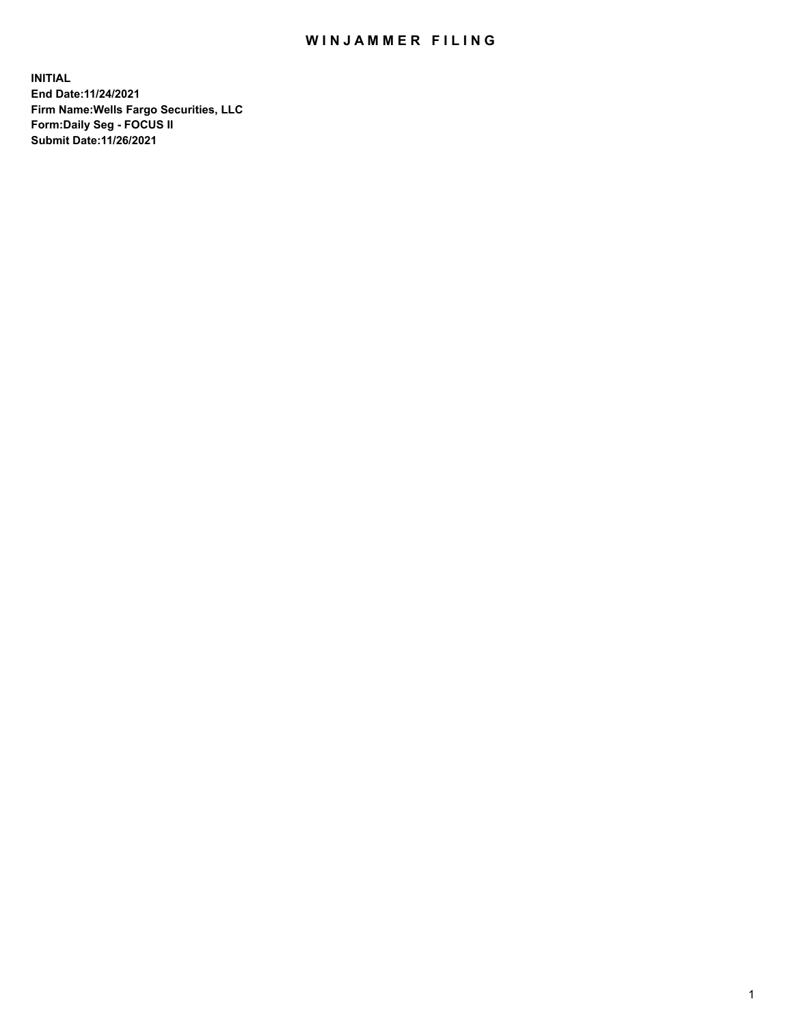## WIN JAMMER FILING

**INITIAL End Date:11/24/2021 Firm Name:Wells Fargo Securities, LLC Form:Daily Seg - FOCUS II Submit Date:11/26/2021**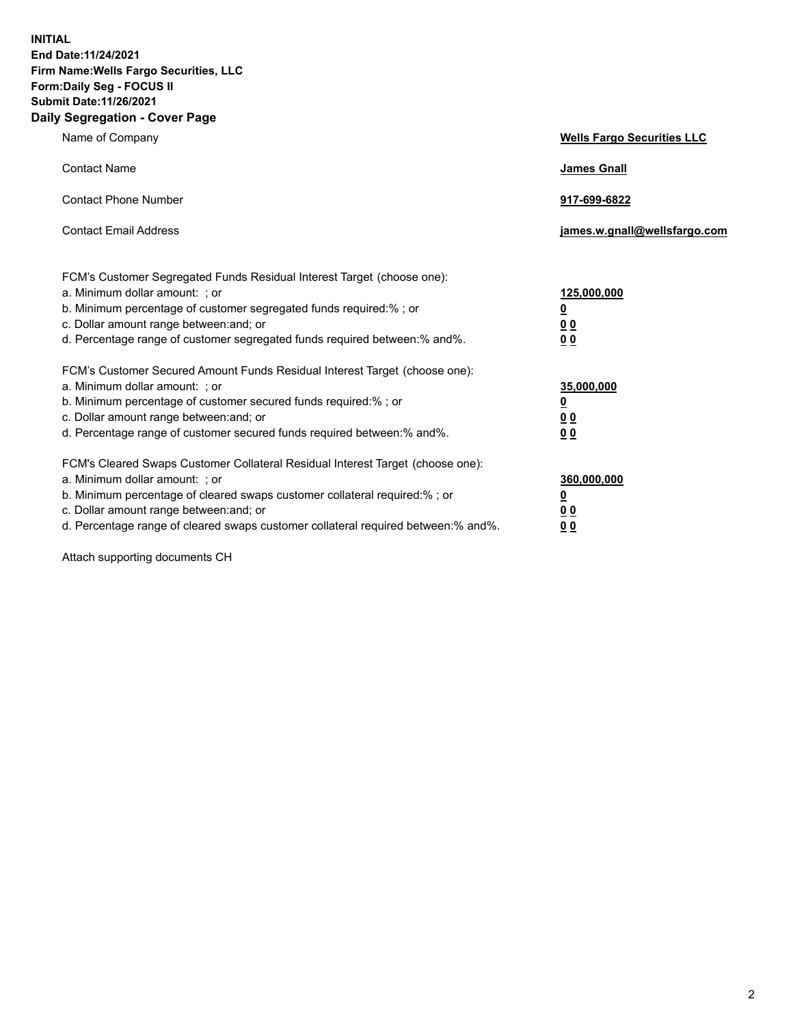**INITIAL End Date:11/24/2021 Firm Name:Wells Fargo Securities, LLC Form:Daily Seg - FOCUS II Submit Date:11/26/2021 Daily Segregation - Cover Page**

| Name of Company                                                                                                                                                                                                                                                                                                               | <b>Wells Fargo Securities LLC</b>                          |
|-------------------------------------------------------------------------------------------------------------------------------------------------------------------------------------------------------------------------------------------------------------------------------------------------------------------------------|------------------------------------------------------------|
| <b>Contact Name</b>                                                                                                                                                                                                                                                                                                           | <b>James Gnall</b>                                         |
| <b>Contact Phone Number</b>                                                                                                                                                                                                                                                                                                   | 917-699-6822                                               |
| <b>Contact Email Address</b>                                                                                                                                                                                                                                                                                                  | james.w.gnall@wellsfargo.com                               |
| FCM's Customer Segregated Funds Residual Interest Target (choose one):<br>a. Minimum dollar amount: ; or<br>b. Minimum percentage of customer segregated funds required:% ; or<br>c. Dollar amount range between: and; or<br>d. Percentage range of customer segregated funds required between:% and%.                        | 125,000,000<br><u>0</u><br>0 <sub>0</sub><br>00            |
| FCM's Customer Secured Amount Funds Residual Interest Target (choose one):<br>a. Minimum dollar amount: ; or<br>b. Minimum percentage of customer secured funds required:%; or<br>c. Dollar amount range between: and; or<br>d. Percentage range of customer secured funds required between:% and%.                           | 35,000,000<br><u>0</u><br>0 <sub>0</sub><br>0 <sub>0</sub> |
| FCM's Cleared Swaps Customer Collateral Residual Interest Target (choose one):<br>a. Minimum dollar amount: ; or<br>b. Minimum percentage of cleared swaps customer collateral required:%; or<br>c. Dollar amount range between: and; or<br>d. Percentage range of cleared swaps customer collateral required between:% and%. | 360,000,000<br><u>0</u><br>0 Q<br>00                       |

Attach supporting documents CH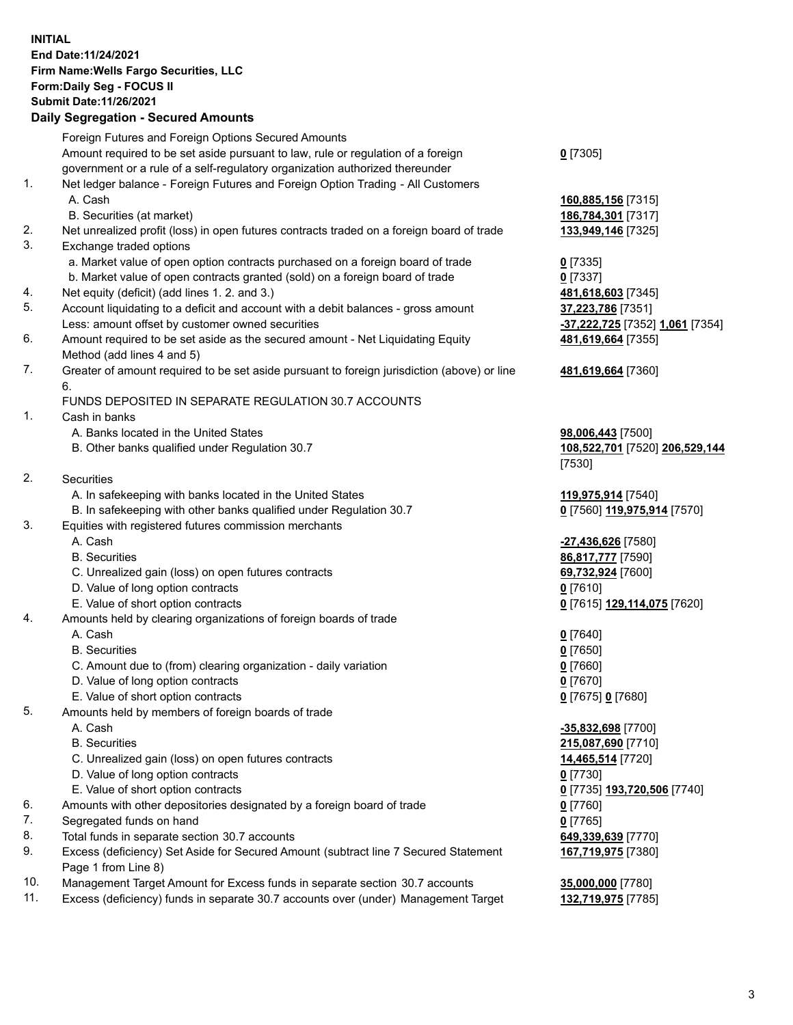**INITIAL End Date:11/24/2021 Firm Name:Wells Fargo Securities, LLC Form:Daily Seg - FOCUS II Submit Date:11/26/2021 Daily Segregation - Secured Amounts**

## Foreign Futures and Foreign Options Secured Amounts Amount required to be set aside pursuant to law, rule or regulation of a foreign government or a rule of a self-regulatory organization authorized thereunder **0** [7305] 1. Net ledger balance - Foreign Futures and Foreign Option Trading - All Customers A. Cash **160,885,156** [7315] B. Securities (at market) **186,784,301** [7317] 2. Net unrealized profit (loss) in open futures contracts traded on a foreign board of trade **133,949,146** [7325] 3. Exchange traded options a. Market value of open option contracts purchased on a foreign board of trade **0** [7335] b. Market value of open contracts granted (sold) on a foreign board of trade **0** [7337] 4. Net equity (deficit) (add lines 1. 2. and 3.) **481,618,603** [7345] 5. Account liquidating to a deficit and account with a debit balances - gross amount **37,223,786** [7351] Less: amount offset by customer owned securities **-37,222,725** [7352] **1,061** [7354] 6. Amount required to be set aside as the secured amount - Net Liquidating Equity Method (add lines 4 and 5) **481,619,664** [7355] 7. Greater of amount required to be set aside pursuant to foreign jurisdiction (above) or line 6. **481,619,664** [7360] FUNDS DEPOSITED IN SEPARATE REGULATION 30.7 ACCOUNTS 1. Cash in banks A. Banks located in the United States **98,006,443** [7500] B. Other banks qualified under Regulation 30.7 **108,522,701** [7520] **206,529,144** [7530] 2. Securities A. In safekeeping with banks located in the United States **119,975,914** [7540] B. In safekeeping with other banks qualified under Regulation 30.7 **0** [7560] **119,975,914** [7570] 3. Equities with registered futures commission merchants A. Cash **-27,436,626** [7580] B. Securities **86,817,777** [7590] C. Unrealized gain (loss) on open futures contracts **69,732,924** [7600] D. Value of long option contracts **0** [7610] E. Value of short option contracts **0** [7615] **129,114,075** [7620] 4. Amounts held by clearing organizations of foreign boards of trade A. Cash **0** [7640] B. Securities **0** [7650] C. Amount due to (from) clearing organization - daily variation **0** [7660] D. Value of long option contracts **0** [7670] E. Value of short option contracts **0** [7675] **0** [7680]

5. Amounts held by members of foreign boards of trade A. Cash **-35,832,698** [7700] B. Securities **215,087,690** [7710] C. Unrealized gain (loss) on open futures contracts **14,465,514** [7720] D. Value of long option contracts **0** [7730] E. Value of short option contracts **0** [7735] **193,720,506** [7740] 6. Amounts with other depositories designated by a foreign board of trade **0** [7760] 7. Segregated funds on hand **0** [7765] 8. Total funds in separate section 30.7 accounts **649,339,639** [7770] 9. Excess (deficiency) Set Aside for Secured Amount (subtract line 7 Secured Statement Page 1 from Line 8) **167,719,975** [7380] 10. Management Target Amount for Excess funds in separate section 30.7 accounts **35,000,000** [7780]

- 
- 11. Excess (deficiency) funds in separate 30.7 accounts over (under) Management Target **132,719,975** [7785]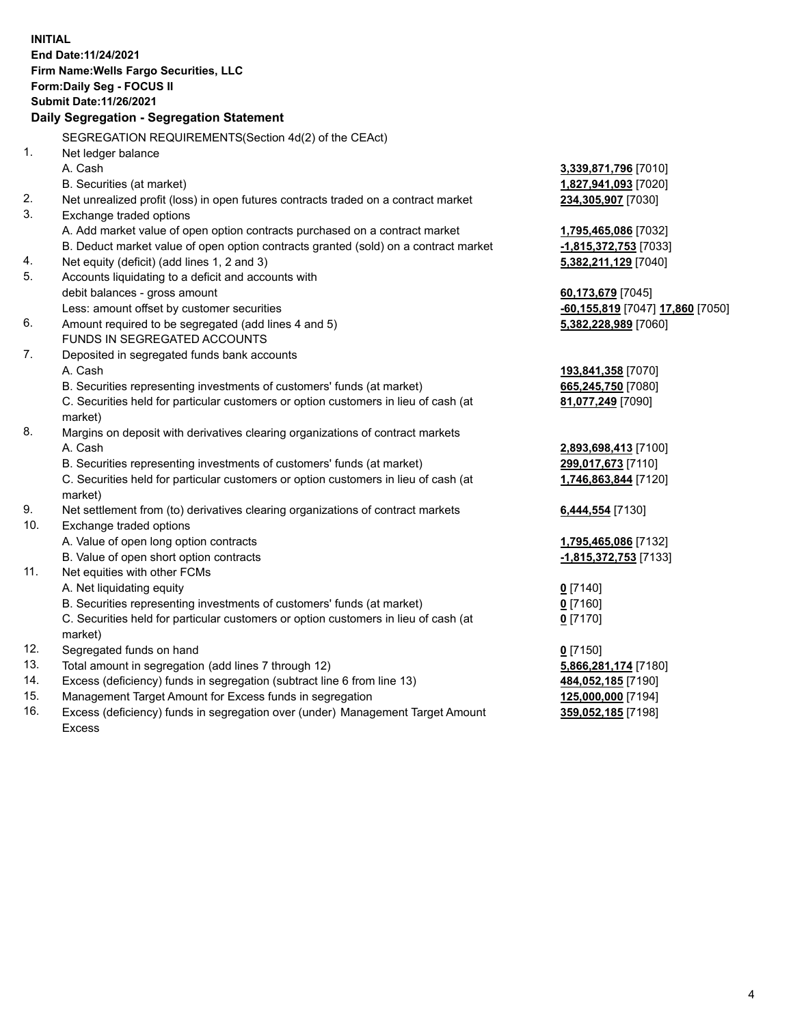**INITIAL End Date:11/24/2021 Firm Name:Wells Fargo Securities, LLC Form:Daily Seg - FOCUS II Submit Date:11/26/2021 Daily Segregation - Segregation Statement** SEGREGATION REQUIREMENTS(Section 4d(2) of the CEAct) 1. Net ledger balance A. Cash **3,339,871,796** [7010] B. Securities (at market) **1,827,941,093** [7020] 2. Net unrealized profit (loss) in open futures contracts traded on a contract market **234,305,907** [7030] 3. Exchange traded options A. Add market value of open option contracts purchased on a contract market **1,795,465,086** [7032] B. Deduct market value of open option contracts granted (sold) on a contract market **-1,815,372,753** [7033] 4. Net equity (deficit) (add lines 1, 2 and 3) **5,382,211,129** [7040] 5. Accounts liquidating to a deficit and accounts with debit balances - gross amount **60,173,679** [7045] Less: amount offset by customer securities **-60,155,819** [7047] **17,860** [7050] 6. Amount required to be segregated (add lines 4 and 5) **5,382,228,989** [7060] FUNDS IN SEGREGATED ACCOUNTS 7. Deposited in segregated funds bank accounts A. Cash **193,841,358** [7070] B. Securities representing investments of customers' funds (at market) **665,245,750** [7080] C. Securities held for particular customers or option customers in lieu of cash (at market) **81,077,249** [7090] 8. Margins on deposit with derivatives clearing organizations of contract markets A. Cash **2,893,698,413** [7100] B. Securities representing investments of customers' funds (at market) **299,017,673** [7110] C. Securities held for particular customers or option customers in lieu of cash (at market) **1,746,863,844** [7120] 9. Net settlement from (to) derivatives clearing organizations of contract markets **6,444,554** [7130] 10. Exchange traded options A. Value of open long option contracts **1,795,465,086** [7132] B. Value of open short option contracts **-1,815,372,753** [7133] 11. Net equities with other FCMs A. Net liquidating equity **0** [7140] B. Securities representing investments of customers' funds (at market) **0** [7160] C. Securities held for particular customers or option customers in lieu of cash (at market) **0** [7170] 12. Segregated funds on hand **0** [7150] 13. Total amount in segregation (add lines 7 through 12) **5,866,281,174** [7180] 14. Excess (deficiency) funds in segregation (subtract line 6 from line 13) **484,052,185** [7190] 15. Management Target Amount for Excess funds in segregation **125,000,000** [7194] **359,052,185** [7198]

16. Excess (deficiency) funds in segregation over (under) Management Target Amount Excess